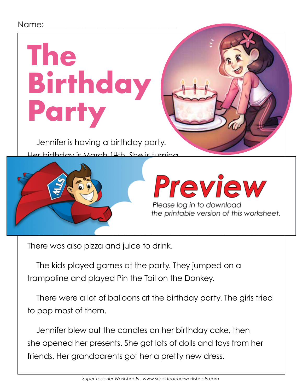#### Name: \_

# **The Birthday Party**

Jennifer is having a birthday party. Her birthday is March 14th. She is turning



## Preview

Please log in to download the printable version of this worksheet.

There was also pizza and juice to drink.

The kids played games at the party. They jumped on a trampoline and played Pin the Tail on the Donkey.

There were a lot of balloons at the birthday party. The girls tried to pop most of them.

Jennifer blew out the candles on her birthday cake, then she opened her presents. She got lots of dolls and toys from her friends. Her grandparents got her a pretty new dress.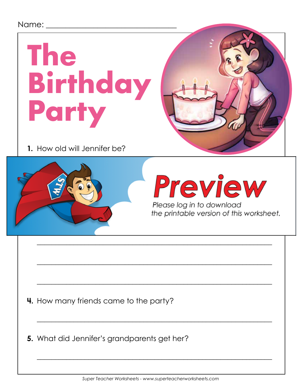#### Name:

# **The Birthday Party**

**1.** How old will Jennifer be?



## Preview

Please log in to download the printable version of this worksheet.

**4.** How many friends came to the party?

**5.** What did Jennifer's grandparents get her?

\_\_\_\_\_\_\_\_\_\_\_\_\_\_\_\_\_\_\_\_\_\_\_\_\_\_\_\_\_\_\_\_\_\_\_\_\_\_\_\_\_\_\_\_\_\_\_\_\_\_\_\_\_\_\_\_\_\_\_\_\_\_\_\_

\_\_\_\_\_\_\_\_\_\_\_\_\_\_\_\_\_\_\_\_\_\_\_\_\_\_\_\_\_\_\_\_\_\_\_\_\_\_\_\_\_\_\_\_\_\_\_\_\_\_\_\_\_\_\_\_\_\_\_\_\_\_\_\_

\_\_\_\_\_\_\_\_\_\_\_\_\_\_\_\_\_\_\_\_\_\_\_\_\_\_\_\_\_\_\_\_\_\_\_\_\_\_\_\_\_\_\_\_\_\_\_\_\_\_\_\_\_\_\_\_\_\_\_\_\_\_\_\_

 $\overline{\phantom{a}}$  , and the contract of the contract of the contract of the contract of the contract of the contract of the contract of the contract of the contract of the contract of the contract of the contract of the contrac

\_\_\_\_\_\_\_\_\_\_\_\_\_\_\_\_\_\_\_\_\_\_\_\_\_\_\_\_\_\_\_\_\_\_\_\_\_\_\_\_\_\_\_\_\_\_\_\_\_\_\_\_\_\_\_\_\_\_\_\_\_\_\_\_